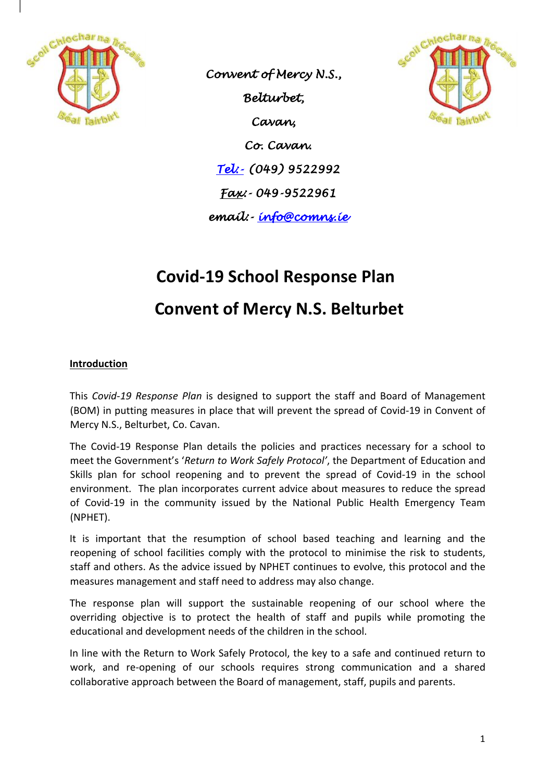

*Convent of Mercy N.S., Belturbet, Cavan, Co. Cavan. Tel:- (049) 9522992 Fax:- 049-9522961 email:- info@comns.ie* 



# **Covid-19 School Response Plan Convent of Mercy N.S. Belturbet**

# **Introduction**

This *Covid-19 Response Plan* is designed to support the staff and Board of Management (BOM) in putting measures in place that will prevent the spread of Covid-19 in Convent of Mercy N.S., Belturbet, Co. Cavan.

The Covid-19 Response Plan details the policies and practices necessary for a school to meet the Government's '*Return to Work Safely Protocol'*, the Department of Education and Skills plan for school reopening and to prevent the spread of Covid-19 in the school environment. The plan incorporates current advice about measures to reduce the spread of Covid-19 in the community issued by the National Public Health Emergency Team (NPHET).

It is important that the resumption of school based teaching and learning and the reopening of school facilities comply with the protocol to minimise the risk to students, staff and others. As the advice issued by NPHET continues to evolve, this protocol and the measures management and staff need to address may also change.

The response plan will support the sustainable reopening of our school where the overriding objective is to protect the health of staff and pupils while promoting the educational and development needs of the children in the school.

In line with the Return to Work Safely Protocol, the key to a safe and continued return to work, and re-opening of our schools requires strong communication and a shared collaborative approach between the Board of management, staff, pupils and parents.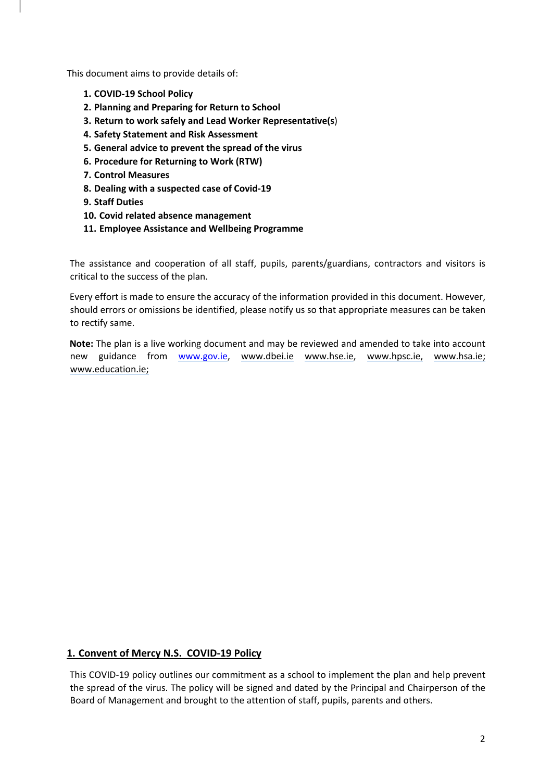This document aims to provide details of:

- **1. COVID-19 School Policy**
- **2. Planning and Preparing for Return to School**
- **3. Return to work safely and Lead Worker Representative(s**)
- **4. Safety Statement and Risk Assessment**
- **5. General advice to prevent the spread of the virus**
- **6. Procedure for Returning to Work (RTW)**
- **7. Control Measures**
- **8. Dealing with a suspected case of Covid-19**
- **9. Staff Duties**
- **10. Covid related absence management**
- **11. Employee Assistance and Wellbeing Programme**

The assistance and cooperation of all staff, pupils, parents/guardians, contractors and visitors is critical to the success of the plan.

Every effort is made to ensure the accuracy of the information provided in this document. However, should errors or omissions be identified, please notify us so that appropriate measures can be taken to rectify same.

**Note:** The plan is a live working document and may be reviewed and amended to take into account new guidance from www.gov.ie, www.dbei.ie www.hse.ie, www.hpsc.ie, www.hsa.ie; www.education.ie;

#### **1. Convent of Mercy N.S. COVID-19 Policy**

This COVID-19 policy outlines our commitment as a school to implement the plan and help prevent the spread of the virus. The policy will be signed and dated by the Principal and Chairperson of the Board of Management and brought to the attention of staff, pupils, parents and others.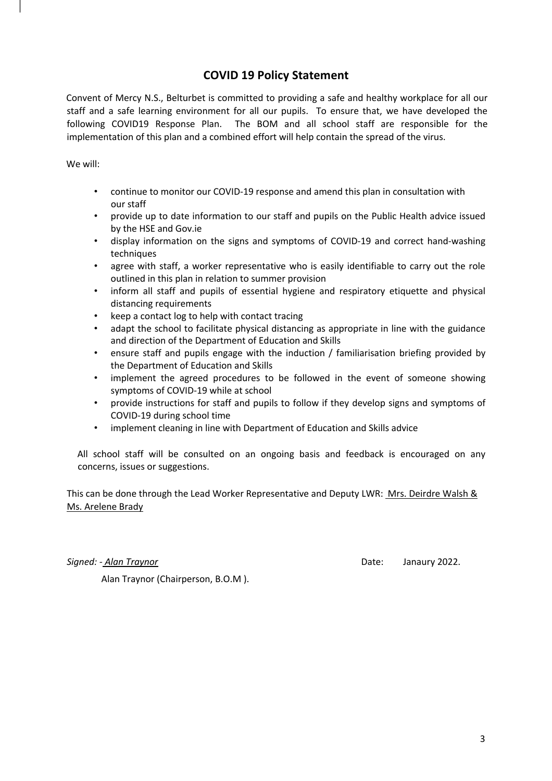# **COVID 19 Policy Statement**

Convent of Mercy N.S., Belturbet is committed to providing a safe and healthy workplace for all our staff and a safe learning environment for all our pupils. To ensure that, we have developed the following COVID19 Response Plan. The BOM and all school staff are responsible for the implementation of this plan and a combined effort will help contain the spread of the virus.

We will:

- continue to monitor our COVID-19 response and amend this plan in consultation with our staff
- provide up to date information to our staff and pupils on the Public Health advice issued by the HSE and Gov.ie
- display information on the signs and symptoms of COVID-19 and correct hand-washing techniques
- agree with staff, a worker representative who is easily identifiable to carry out the role outlined in this plan in relation to summer provision
- inform all staff and pupils of essential hygiene and respiratory etiquette and physical distancing requirements
- keep a contact log to help with contact tracing
- adapt the school to facilitate physical distancing as appropriate in line with the guidance and direction of the Department of Education and Skills
- ensure staff and pupils engage with the induction / familiarisation briefing provided by the Department of Education and Skills
- implement the agreed procedures to be followed in the event of someone showing symptoms of COVID-19 while at school
- provide instructions for staff and pupils to follow if they develop signs and symptoms of COVID-19 during school time
- implement cleaning in line with Department of Education and Skills advice

All school staff will be consulted on an ongoing basis and feedback is encouraged on any concerns, issues or suggestions.

This can be done through the Lead Worker Representative and Deputy LWR: Mrs. Deirdre Walsh & Ms. Arelene Brady

*Signed: - Alan Traynor* Date: Janaury 2022.

Alan Traynor (Chairperson, B.O.M ).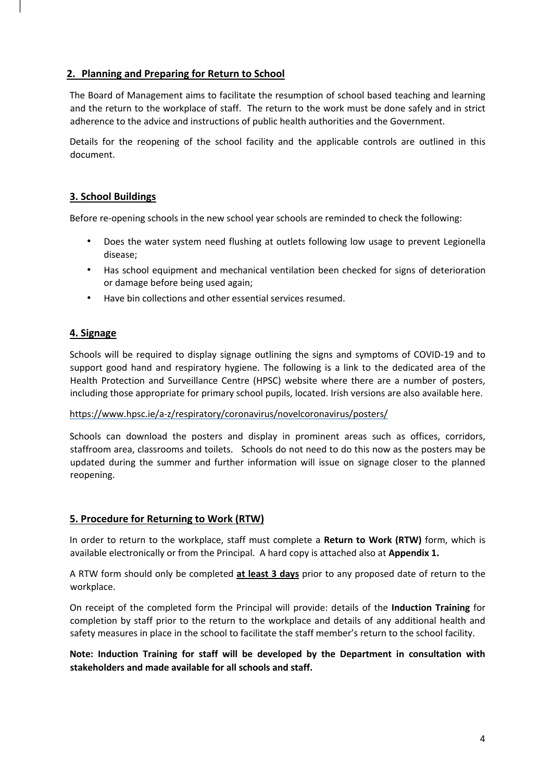## **2. Planning and Preparing for Return to School**

The Board of Management aims to facilitate the resumption of school based teaching and learning and the return to the workplace of staff. The return to the work must be done safely and in strict adherence to the advice and instructions of public health authorities and the Government.

Details for the reopening of the school facility and the applicable controls are outlined in this document.

## **3. School Buildings**

Before re-opening schools in the new school year schools are reminded to check the following:

- Does the water system need flushing at outlets following low usage to prevent Legionella disease;
- Has school equipment and mechanical ventilation been checked for signs of deterioration or damage before being used again;
- Have bin collections and other essential services resumed.

## **4. Signage**

Schools will be required to display signage outlining the signs and symptoms of COVID-19 and to support good hand and respiratory hygiene. The following is a link to the dedicated area of the Health Protection and Surveillance Centre (HPSC) website where there are a number of posters, including those appropriate for primary school pupils, located. Irish versions are also available here.

#### https://www.hpsc.ie/a-z/respiratory/coronavirus/novelcoronavirus/posters/

Schools can download the posters and display in prominent areas such as offices, corridors, staffroom area, classrooms and toilets. Schools do not need to do this now as the posters may be updated during the summer and further information will issue on signage closer to the planned reopening.

#### **5. Procedure for Returning to Work (RTW)**

In order to return to the workplace, staff must complete a **Return to Work (RTW)** form, which is available electronically or from the Principal. A hard copy is attached also at **Appendix 1.**

A RTW form should only be completed **at least 3 days** prior to any proposed date of return to the workplace.

On receipt of the completed form the Principal will provide: details of the **Induction Training** for completion by staff prior to the return to the workplace and details of any additional health and safety measures in place in the school to facilitate the staff member's return to the school facility.

**Note: Induction Training for staff will be developed by the Department in consultation with stakeholders and made available for all schools and staff.**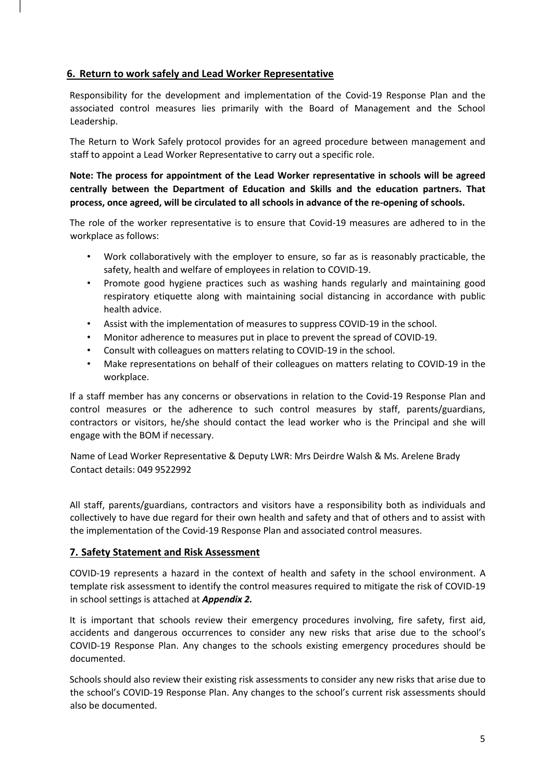#### **6. Return to work safely and Lead Worker Representative**

Responsibility for the development and implementation of the Covid-19 Response Plan and the associated control measures lies primarily with the Board of Management and the School Leadership.

The Return to Work Safely protocol provides for an agreed procedure between management and staff to appoint a Lead Worker Representative to carry out a specific role.

**Note: The process for appointment of the Lead Worker representative in schools will be agreed centrally between the Department of Education and Skills and the education partners. That process, once agreed, will be circulated to all schools in advance of the re-opening of schools.** 

The role of the worker representative is to ensure that Covid-19 measures are adhered to in the workplace as follows:

- Work collaboratively with the employer to ensure, so far as is reasonably practicable, the safety, health and welfare of employees in relation to COVID-19.
- Promote good hygiene practices such as washing hands regularly and maintaining good respiratory etiquette along with maintaining social distancing in accordance with public health advice.
- Assist with the implementation of measures to suppress COVID-19 in the school.
- Monitor adherence to measures put in place to prevent the spread of COVID-19.
- Consult with colleagues on matters relating to COVID-19 in the school.
- Make representations on behalf of their colleagues on matters relating to COVID-19 in the workplace.

If a staff member has any concerns or observations in relation to the Covid-19 Response Plan and control measures or the adherence to such control measures by staff, parents/guardians, contractors or visitors, he/she should contact the lead worker who is the Principal and she will engage with the BOM if necessary.

Name of Lead Worker Representative & Deputy LWR: Mrs Deirdre Walsh & Ms. Arelene Brady Contact details: 049 9522992

All staff, parents/guardians, contractors and visitors have a responsibility both as individuals and collectively to have due regard for their own health and safety and that of others and to assist with the implementation of the Covid-19 Response Plan and associated control measures.

#### **7. Safety Statement and Risk Assessment**

COVID-19 represents a hazard in the context of health and safety in the school environment. A template risk assessment to identify the control measures required to mitigate the risk of COVID-19 in school settings is attached at *Appendix 2.*

It is important that schools review their emergency procedures involving, fire safety, first aid, accidents and dangerous occurrences to consider any new risks that arise due to the school's COVID-19 Response Plan. Any changes to the schools existing emergency procedures should be documented.

Schools should also review their existing risk assessments to consider any new risks that arise due to the school's COVID-19 Response Plan. Any changes to the school's current risk assessments should also be documented.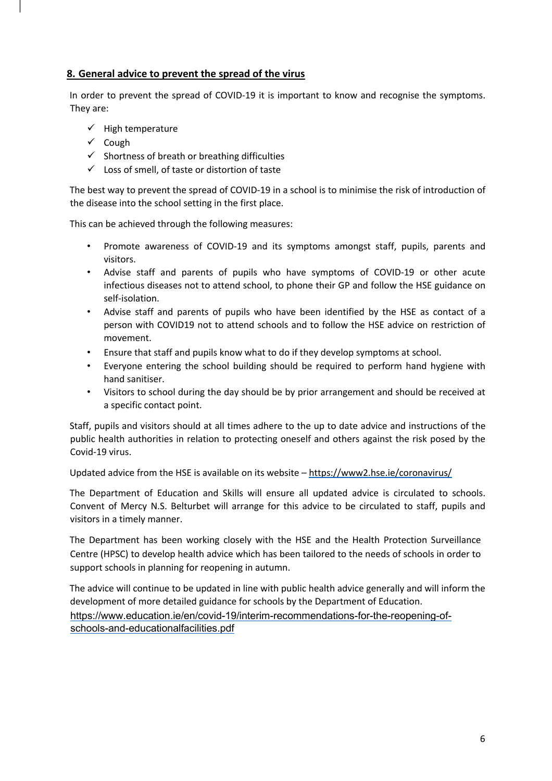#### **8. General advice to prevent the spread of the virus**

In order to prevent the spread of COVID-19 it is important to know and recognise the symptoms. They are:

- $\checkmark$  High temperature
- $\checkmark$  Cough
- $\checkmark$  Shortness of breath or breathing difficulties
- $\checkmark$  Loss of smell, of taste or distortion of taste

The best way to prevent the spread of COVID-19 in a school is to minimise the risk of introduction of the disease into the school setting in the first place.

This can be achieved through the following measures:

- Promote awareness of COVID-19 and its symptoms amongst staff, pupils, parents and visitors.
- Advise staff and parents of pupils who have symptoms of COVID-19 or other acute infectious diseases not to attend school, to phone their GP and follow the HSE guidance on self-isolation.
- Advise staff and parents of pupils who have been identified by the HSE as contact of a person with COVID19 not to attend schools and to follow the HSE advice on restriction of movement.
- Ensure that staff and pupils know what to do if they develop symptoms at school.
- Everyone entering the school building should be required to perform hand hygiene with hand sanitiser.
- Visitors to school during the day should be by prior arrangement and should be received at a specific contact point.

Staff, pupils and visitors should at all times adhere to the up to date advice and instructions of the public health authorities in relation to protecting oneself and others against the risk posed by the Covid-19 virus.

Updated advice from the HSE is available on its website – https://www2.hse.ie/coronavirus/

The Department of Education and Skills will ensure all updated advice is circulated to schools. Convent of Mercy N.S. Belturbet will arrange for this advice to be circulated to staff, pupils and visitors in a timely manner.

The Department has been working closely with the HSE and the Health Protection Surveillance Centre (HPSC) to develop health advice which has been tailored to the needs of schools in order to support schools in planning for reopening in autumn.

The advice will continue to be updated in line with public health advice generally and will inform the development of more detailed guidance for schools by the Department of Education. https://www.education.ie/en/covid-19/interim-recommendations-for-the-reopening-ofschools-and-educationalfacilities.pdf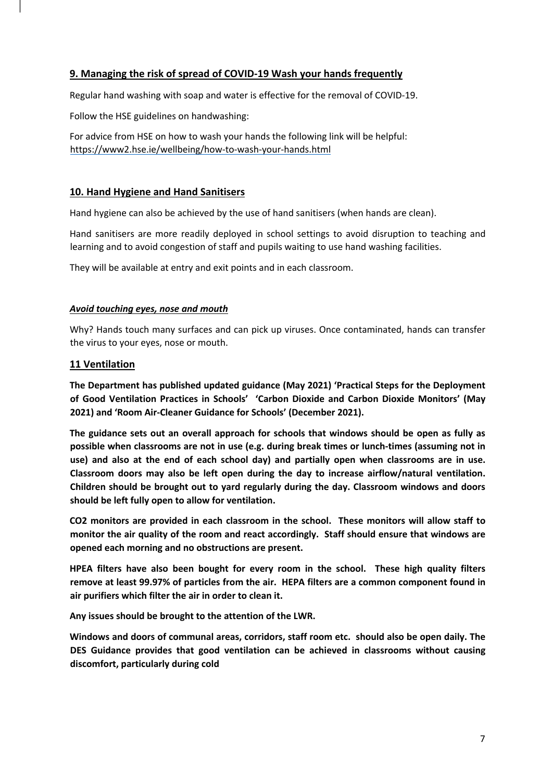#### **9. Managing the risk of spread of COVID-19 Wash your hands frequently**

Regular hand washing with soap and water is effective for the removal of COVID-19.

Follow the HSE guidelines on handwashing:

For advice from HSE on how to wash your hands the following link will be helpful: https://www2.hse.ie/wellbeing/how-to-wash-your-hands.html

#### **10. Hand Hygiene and Hand Sanitisers**

Hand hygiene can also be achieved by the use of hand sanitisers (when hands are clean).

Hand sanitisers are more readily deployed in school settings to avoid disruption to teaching and learning and to avoid congestion of staff and pupils waiting to use hand washing facilities.

They will be available at entry and exit points and in each classroom.

#### *Avoid touching eyes, nose and mouth*

Why? Hands touch many surfaces and can pick up viruses. Once contaminated, hands can transfer the virus to your eyes, nose or mouth.

#### **11 Ventilation**

**The Department has published updated guidance (May 2021) 'Practical Steps for the Deployment of Good Ventilation Practices in Schools' 'Carbon Dioxide and Carbon Dioxide Monitors' (May 2021) and 'Room Air-Cleaner Guidance for Schools' (December 2021).**

**The guidance sets out an overall approach for schools that windows should be open as fully as possible when classrooms are not in use (e.g. during break times or lunch-times (assuming not in use) and also at the end of each school day) and partially open when classrooms are in use. Classroom doors may also be left open during the day to increase airflow/natural ventilation. Children should be brought out to yard regularly during the day. Classroom windows and doors should be left fully open to allow for ventilation.** 

**CO2 monitors are provided in each classroom in the school. These monitors will allow staff to monitor the air quality of the room and react accordingly. Staff should ensure that windows are opened each morning and no obstructions are present.**

**HPEA filters have also been bought for every room in the school. These high quality filters remove at least 99.97% of particles from the air. HEPA filters are a common component found in air purifiers which filter the air in order to clean it.**

**Any issues should be brought to the attention of the LWR.** 

**Windows and doors of communal areas, corridors, staff room etc. should also be open daily. The DES Guidance provides that good ventilation can be achieved in classrooms without causing discomfort, particularly during cold**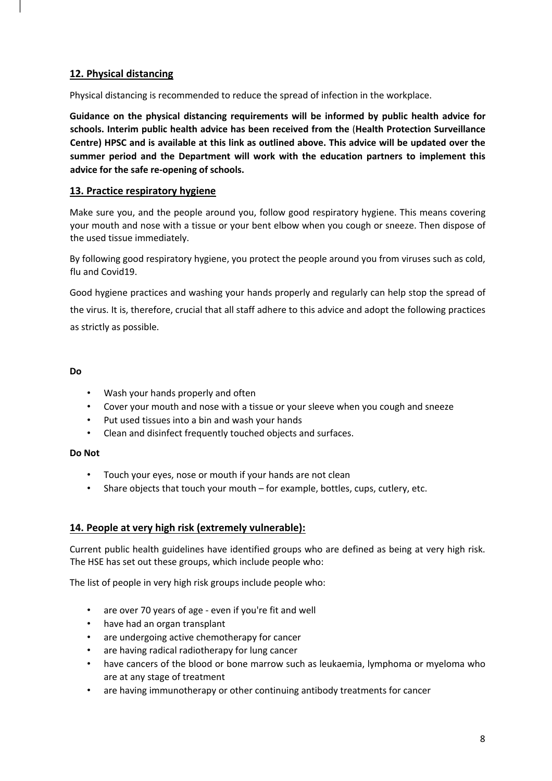## **12. Physical distancing**

Physical distancing is recommended to reduce the spread of infection in the workplace.

**Guidance on the physical distancing requirements will be informed by public health advice for schools. Interim public health advice has been received from the** (**Health Protection Surveillance Centre) HPSC and is available at this link as outlined above. This advice will be updated over the summer period and the Department will work with the education partners to implement this advice for the safe re-opening of schools.** 

#### **13. Practice respiratory hygiene**

Make sure you, and the people around you, follow good respiratory hygiene. This means covering your mouth and nose with a tissue or your bent elbow when you cough or sneeze. Then dispose of the used tissue immediately.

By following good respiratory hygiene, you protect the people around you from viruses such as cold, flu and Covid19.

Good hygiene practices and washing your hands properly and regularly can help stop the spread of the virus. It is, therefore, crucial that all staff adhere to this advice and adopt the following practices as strictly as possible.

#### **Do**

- Wash your hands properly and often
- Cover your mouth and nose with a tissue or your sleeve when you cough and sneeze
- Put used tissues into a bin and wash your hands
- Clean and disinfect frequently touched objects and surfaces.

#### **Do Not**

- Touch your eyes, nose or mouth if your hands are not clean
- Share objects that touch your mouth for example, bottles, cups, cutlery, etc.

#### **14. People at very high risk (extremely vulnerable):**

Current public health guidelines have identified groups who are defined as being at very high risk. The HSE has set out these groups, which include people who:

The list of people in very high risk groups include people who:

- are over 70 years of age even if you're fit and well
- have had an organ transplant
- are undergoing active chemotherapy for cancer
- are having radical radiotherapy for lung cancer
- have cancers of the blood or bone marrow such as leukaemia, lymphoma or myeloma who are at any stage of treatment
- are having immunotherapy or other continuing antibody treatments for cancer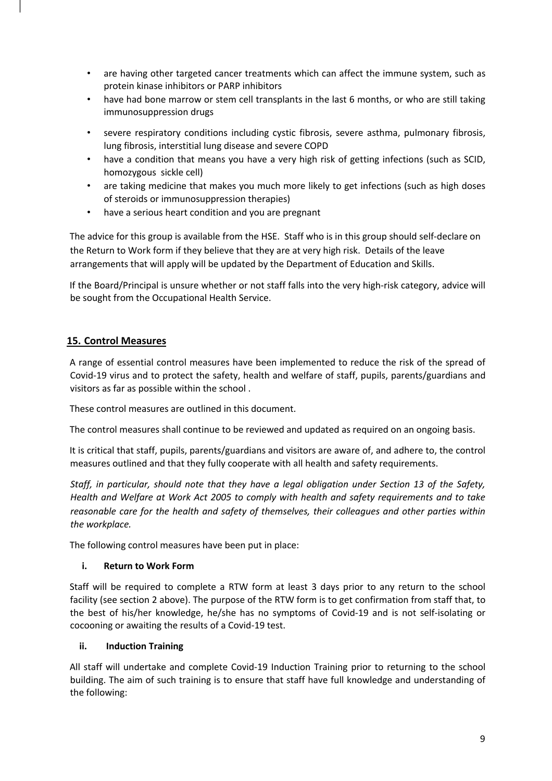- are having other targeted cancer treatments which can affect the immune system, such as protein kinase inhibitors or PARP inhibitors
- have had bone marrow or stem cell transplants in the last 6 months, or who are still taking immunosuppression drugs
- severe respiratory conditions including cystic fibrosis, severe asthma, pulmonary fibrosis, lung fibrosis, interstitial lung disease and severe COPD
- have a condition that means you have a very high risk of getting infections (such as SCID, homozygous sickle cell)
- are taking medicine that makes you much more likely to get infections (such as high doses of steroids or immunosuppression therapies)
- have a serious heart condition and you are pregnant

The advice for this group is available from the HSE. Staff who is in this group should self-declare on the Return to Work form if they believe that they are at very high risk. Details of the leave arrangements that will apply will be updated by the Department of Education and Skills.

If the Board/Principal is unsure whether or not staff falls into the very high-risk category, advice will be sought from the Occupational Health Service.

# **15. Control Measures**

A range of essential control measures have been implemented to reduce the risk of the spread of Covid-19 virus and to protect the safety, health and welfare of staff, pupils, parents/guardians and visitors as far as possible within the school .

These control measures are outlined in this document.

The control measures shall continue to be reviewed and updated as required on an ongoing basis.

It is critical that staff, pupils, parents/guardians and visitors are aware of, and adhere to, the control measures outlined and that they fully cooperate with all health and safety requirements.

*Staff, in particular, should note that they have a legal obligation under Section 13 of the Safety, Health and Welfare at Work Act 2005 to comply with health and safety requirements and to take reasonable care for the health and safety of themselves, their colleagues and other parties within the workplace.* 

The following control measures have been put in place:

#### **i. Return to Work Form**

Staff will be required to complete a RTW form at least 3 days prior to any return to the school facility (see section 2 above). The purpose of the RTW form is to get confirmation from staff that, to the best of his/her knowledge, he/she has no symptoms of Covid-19 and is not self-isolating or cocooning or awaiting the results of a Covid-19 test.

#### **ii. Induction Training**

All staff will undertake and complete Covid-19 Induction Training prior to returning to the school building. The aim of such training is to ensure that staff have full knowledge and understanding of the following: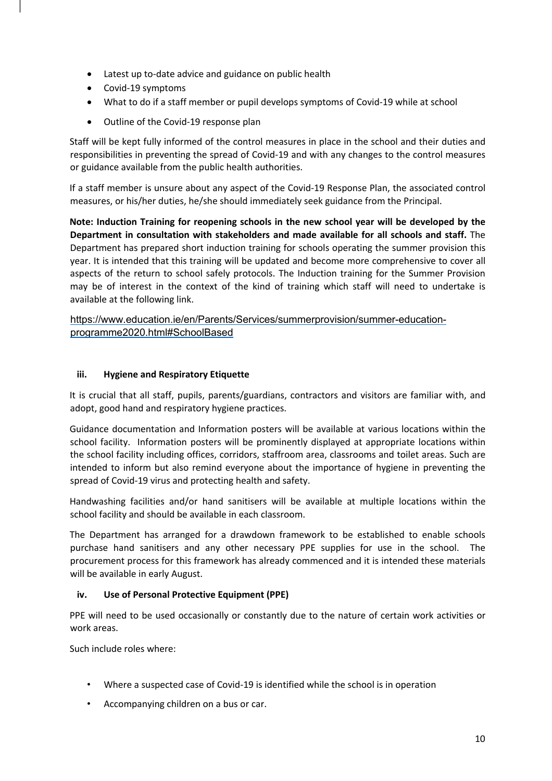- Latest up to-date advice and guidance on public health
- Covid-19 symptoms
- What to do if a staff member or pupil develops symptoms of Covid-19 while at school
- Outline of the Covid-19 response plan

Staff will be kept fully informed of the control measures in place in the school and their duties and responsibilities in preventing the spread of Covid-19 and with any changes to the control measures or guidance available from the public health authorities.

If a staff member is unsure about any aspect of the Covid-19 Response Plan, the associated control measures, or his/her duties, he/she should immediately seek guidance from the Principal.

**Note: Induction Training for reopening schools in the new school year will be developed by the Department in consultation with stakeholders and made available for all schools and staff.** The Department has prepared short induction training for schools operating the summer provision this year. It is intended that this training will be updated and become more comprehensive to cover all aspects of the return to school safely protocols. The Induction training for the Summer Provision may be of interest in the context of the kind of training which staff will need to undertake is available at the following link.

https://www.education.ie/en/Parents/Services/summerprovision/summer-educationprogramme2020.html#SchoolBased

#### **iii. Hygiene and Respiratory Etiquette**

It is crucial that all staff, pupils, parents/guardians, contractors and visitors are familiar with, and adopt, good hand and respiratory hygiene practices.

Guidance documentation and Information posters will be available at various locations within the school facility. Information posters will be prominently displayed at appropriate locations within the school facility including offices, corridors, staffroom area, classrooms and toilet areas. Such are intended to inform but also remind everyone about the importance of hygiene in preventing the spread of Covid-19 virus and protecting health and safety.

Handwashing facilities and/or hand sanitisers will be available at multiple locations within the school facility and should be available in each classroom.

The Department has arranged for a drawdown framework to be established to enable schools purchase hand sanitisers and any other necessary PPE supplies for use in the school. The procurement process for this framework has already commenced and it is intended these materials will be available in early August.

#### **iv. Use of Personal Protective Equipment (PPE)**

PPE will need to be used occasionally or constantly due to the nature of certain work activities or work areas.

Such include roles where:

- Where a suspected case of Covid-19 is identified while the school is in operation
- Accompanying children on a bus or car.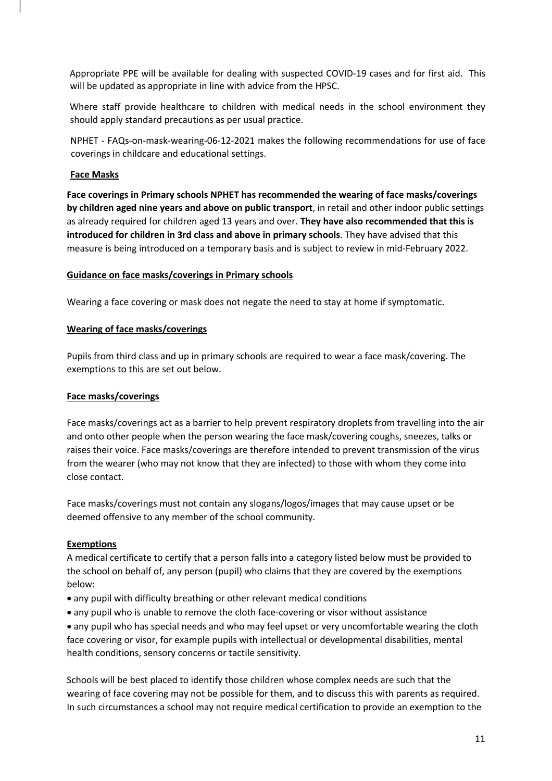Appropriate PPE will be available for dealing with suspected COVID-19 cases and for first aid. This will be updated as appropriate in line with advice from the HPSC.

Where staff provide healthcare to children with medical needs in the school environment they should apply standard precautions as per usual practice.

NPHET - FAQs-on-mask-wearing-06-12-2021 makes the following recommendations for use of face coverings in childcare and educational settings.

#### **Face Masks**

**Face coverings in Primary schools NPHET has recommended the wearing of face masks/coverings by children aged nine years and above on public transport**, in retail and other indoor public settings as already required for children aged 13 years and over. **They have also recommended that this is introduced for children in 3rd class and above in primary schools**. They have advised that this measure is being introduced on a temporary basis and is subject to review in mid-February 2022.

#### **Guidance on face masks/coverings in Primary schools**

Wearing a face covering or mask does not negate the need to stay at home if symptomatic.

#### **Wearing of face masks/coverings**

Pupils from third class and up in primary schools are required to wear a face mask/covering. The exemptions to this are set out below.

#### **Face masks/coverings**

Face masks/coverings act as a barrier to help prevent respiratory droplets from travelling into the air and onto other people when the person wearing the face mask/covering coughs, sneezes, talks or raises their voice. Face masks/coverings are therefore intended to prevent transmission of the virus from the wearer (who may not know that they are infected) to those with whom they come into close contact.

Face masks/coverings must not contain any slogans/logos/images that may cause upset or be deemed offensive to any member of the school community.

#### **Exemptions**

A medical certificate to certify that a person falls into a category listed below must be provided to the school on behalf of, any person (pupil) who claims that they are covered by the exemptions below:

- any pupil with difficulty breathing or other relevant medical conditions
- any pupil who is unable to remove the cloth face-covering or visor without assistance

• any pupil who has special needs and who may feel upset or very uncomfortable wearing the cloth face covering or visor, for example pupils with intellectual or developmental disabilities, mental health conditions, sensory concerns or tactile sensitivity.

Schools will be best placed to identify those children whose complex needs are such that the wearing of face covering may not be possible for them, and to discuss this with parents as required. In such circumstances a school may not require medical certification to provide an exemption to the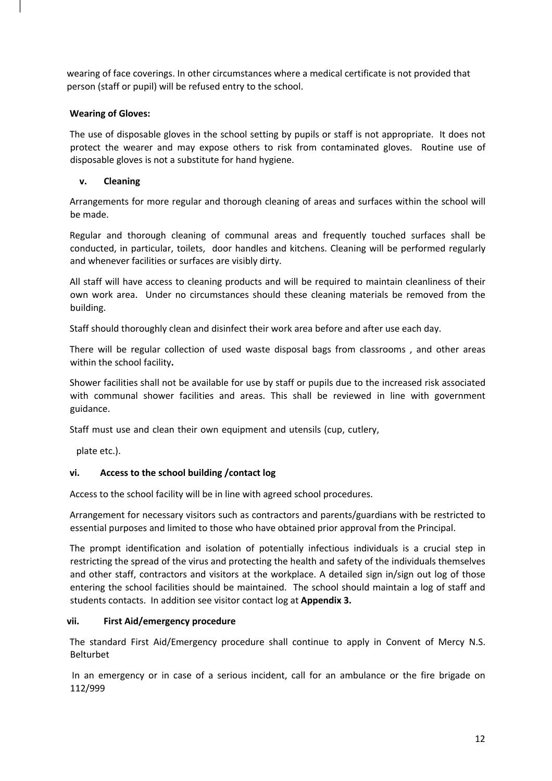wearing of face coverings. In other circumstances where a medical certificate is not provided that person (staff or pupil) will be refused entry to the school.

#### **Wearing of Gloves:**

The use of disposable gloves in the school setting by pupils or staff is not appropriate. It does not protect the wearer and may expose others to risk from contaminated gloves. Routine use of disposable gloves is not a substitute for hand hygiene.

#### **v. Cleaning**

Arrangements for more regular and thorough cleaning of areas and surfaces within the school will be made.

Regular and thorough cleaning of communal areas and frequently touched surfaces shall be conducted, in particular, toilets, door handles and kitchens. Cleaning will be performed regularly and whenever facilities or surfaces are visibly dirty.

All staff will have access to cleaning products and will be required to maintain cleanliness of their own work area. Under no circumstances should these cleaning materials be removed from the building.

Staff should thoroughly clean and disinfect their work area before and after use each day.

There will be regular collection of used waste disposal bags from classrooms , and other areas within the school facility**.** 

Shower facilities shall not be available for use by staff or pupils due to the increased risk associated with communal shower facilities and areas. This shall be reviewed in line with government guidance.

Staff must use and clean their own equipment and utensils (cup, cutlery,

plate etc.).

#### **vi. Access to the school building /contact log**

Access to the school facility will be in line with agreed school procedures.

Arrangement for necessary visitors such as contractors and parents/guardians with be restricted to essential purposes and limited to those who have obtained prior approval from the Principal.

The prompt identification and isolation of potentially infectious individuals is a crucial step in restricting the spread of the virus and protecting the health and safety of the individuals themselves and other staff, contractors and visitors at the workplace. A detailed sign in/sign out log of those entering the school facilities should be maintained. The school should maintain a log of staff and students contacts. In addition see visitor contact log at **Appendix 3.**

#### **vii. First Aid/emergency procedure**

The standard First Aid/Emergency procedure shall continue to apply in Convent of Mercy N.S. Belturbet

In an emergency or in case of a serious incident, call for an ambulance or the fire brigade on 112/999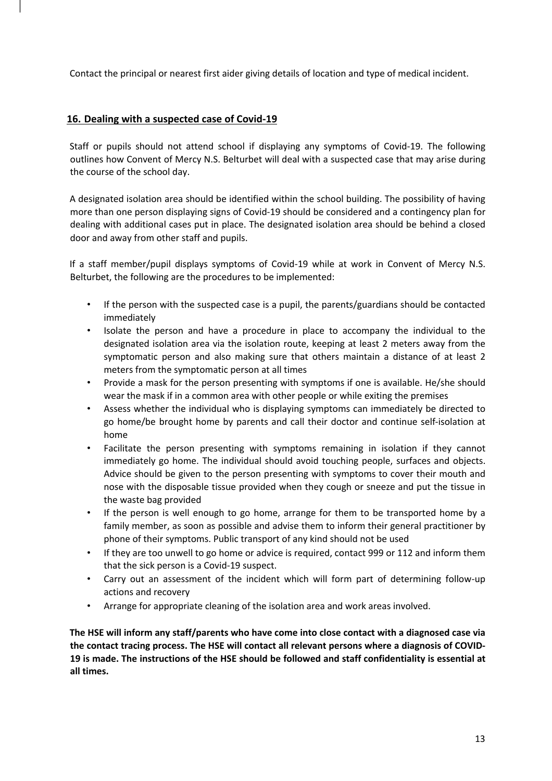Contact the principal or nearest first aider giving details of location and type of medical incident.

#### **16. Dealing with a suspected case of Covid-19**

Staff or pupils should not attend school if displaying any symptoms of Covid-19. The following outlines how Convent of Mercy N.S. Belturbet will deal with a suspected case that may arise during the course of the school day.

A designated isolation area should be identified within the school building. The possibility of having more than one person displaying signs of Covid-19 should be considered and a contingency plan for dealing with additional cases put in place. The designated isolation area should be behind a closed door and away from other staff and pupils.

If a staff member/pupil displays symptoms of Covid-19 while at work in Convent of Mercy N.S. Belturbet, the following are the procedures to be implemented:

- If the person with the suspected case is a pupil, the parents/guardians should be contacted immediately
- Isolate the person and have a procedure in place to accompany the individual to the designated isolation area via the isolation route, keeping at least 2 meters away from the symptomatic person and also making sure that others maintain a distance of at least 2 meters from the symptomatic person at all times
- Provide a mask for the person presenting with symptoms if one is available. He/she should wear the mask if in a common area with other people or while exiting the premises
- Assess whether the individual who is displaying symptoms can immediately be directed to go home/be brought home by parents and call their doctor and continue self-isolation at home
- Facilitate the person presenting with symptoms remaining in isolation if they cannot immediately go home. The individual should avoid touching people, surfaces and objects. Advice should be given to the person presenting with symptoms to cover their mouth and nose with the disposable tissue provided when they cough or sneeze and put the tissue in the waste bag provided
- If the person is well enough to go home, arrange for them to be transported home by a family member, as soon as possible and advise them to inform their general practitioner by phone of their symptoms. Public transport of any kind should not be used
- If they are too unwell to go home or advice is required, contact 999 or 112 and inform them that the sick person is a Covid-19 suspect.
- Carry out an assessment of the incident which will form part of determining follow-up actions and recovery
- Arrange for appropriate cleaning of the isolation area and work areas involved.

**The HSE will inform any staff/parents who have come into close contact with a diagnosed case via the contact tracing process. The HSE will contact all relevant persons where a diagnosis of COVID-19 is made. The instructions of the HSE should be followed and staff confidentiality is essential at all times.**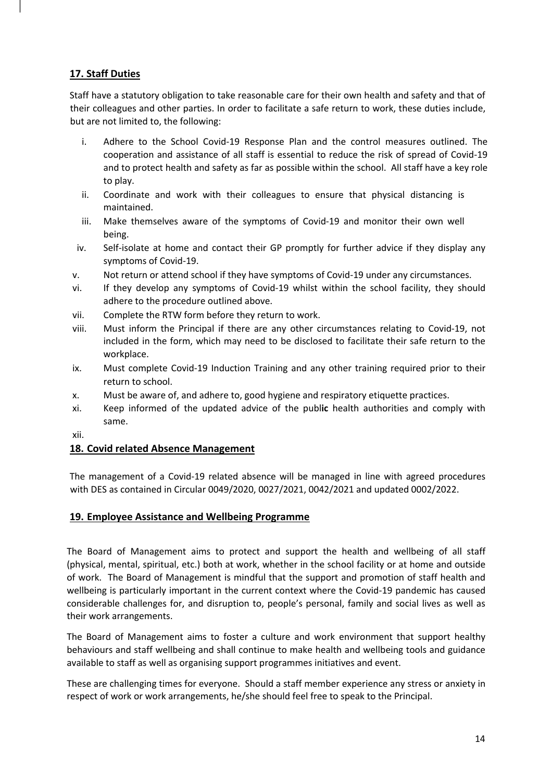# **17. Staff Duties**

Staff have a statutory obligation to take reasonable care for their own health and safety and that of their colleagues and other parties. In order to facilitate a safe return to work, these duties include, but are not limited to, the following:

- i. Adhere to the School Covid-19 Response Plan and the control measures outlined. The cooperation and assistance of all staff is essential to reduce the risk of spread of Covid-19 and to protect health and safety as far as possible within the school. All staff have a key role to play.
- ii. Coordinate and work with their colleagues to ensure that physical distancing is maintained.
- iii. Make themselves aware of the symptoms of Covid-19 and monitor their own well being.
- iv. Self-isolate at home and contact their GP promptly for further advice if they display any symptoms of Covid-19.
- v. Not return or attend school if they have symptoms of Covid-19 under any circumstances.
- vi. If they develop any symptoms of Covid-19 whilst within the school facility, they should adhere to the procedure outlined above.
- vii. Complete the RTW form before they return to work.
- viii. Must inform the Principal if there are any other circumstances relating to Covid-19, not included in the form, which may need to be disclosed to facilitate their safe return to the workplace.
- ix. Must complete Covid-19 Induction Training and any other training required prior to their return to school.
- x. Must be aware of, and adhere to, good hygiene and respiratory etiquette practices.
- xi. Keep informed of the updated advice of the publ**ic** health authorities and comply with same.
- xii.

# **18. Covid related Absence Management**

The management of a Covid-19 related absence will be managed in line with agreed procedures with DES as contained in Circular 0049/2020, 0027/2021, 0042/2021 and updated 0002/2022.

#### **19. Employee Assistance and Wellbeing Programme**

The Board of Management aims to protect and support the health and wellbeing of all staff (physical, mental, spiritual, etc.) both at work, whether in the school facility or at home and outside of work. The Board of Management is mindful that the support and promotion of staff health and wellbeing is particularly important in the current context where the Covid-19 pandemic has caused considerable challenges for, and disruption to, people's personal, family and social lives as well as their work arrangements.

The Board of Management aims to foster a culture and work environment that support healthy behaviours and staff wellbeing and shall continue to make health and wellbeing tools and guidance available to staff as well as organising support programmes initiatives and event.

These are challenging times for everyone. Should a staff member experience any stress or anxiety in respect of work or work arrangements, he/she should feel free to speak to the Principal.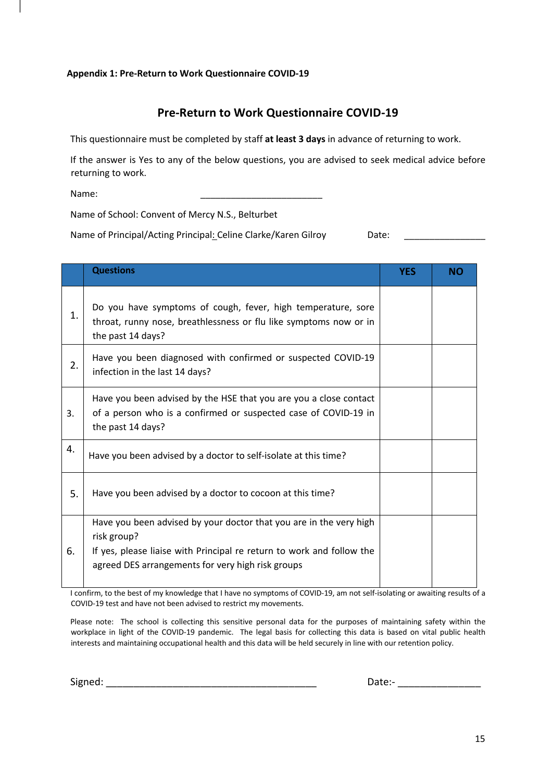#### **Appendix 1: Pre-Return to Work Questionnaire COVID-19**

# **Pre-Return to Work Questionnaire COVID-19**

This questionnaire must be completed by staff **at least 3 days** in advance of returning to work.

If the answer is Yes to any of the below questions, you are advised to seek medical advice before returning to work.

Name: \_\_\_\_\_\_\_\_\_\_\_\_\_\_\_\_\_\_\_\_\_\_\_\_

Name of School: Convent of Mercy N.S., Belturbet

Name of Principal/Acting Principal: Celine Clarke/Karen Gilroy Date: \_\_\_\_\_\_\_\_\_\_\_

|    | <b>Questions</b>                                                                                                                                                                                                | <b>YES</b> | <b>NO</b> |
|----|-----------------------------------------------------------------------------------------------------------------------------------------------------------------------------------------------------------------|------------|-----------|
| 1. | Do you have symptoms of cough, fever, high temperature, sore<br>throat, runny nose, breathlessness or flu like symptoms now or in<br>the past 14 days?                                                          |            |           |
| 2. | Have you been diagnosed with confirmed or suspected COVID-19<br>infection in the last 14 days?                                                                                                                  |            |           |
| 3. | Have you been advised by the HSE that you are you a close contact<br>of a person who is a confirmed or suspected case of COVID-19 in<br>the past 14 days?                                                       |            |           |
| 4. | Have you been advised by a doctor to self-isolate at this time?                                                                                                                                                 |            |           |
| 5. | Have you been advised by a doctor to cocoon at this time?                                                                                                                                                       |            |           |
| 6. | Have you been advised by your doctor that you are in the very high<br>risk group?<br>If yes, please liaise with Principal re return to work and follow the<br>agreed DES arrangements for very high risk groups |            |           |

I confirm, to the best of my knowledge that I have no symptoms of COVID-19, am not self-isolating or awaiting results of a COVID-19 test and have not been advised to restrict my movements.

Please note: The school is collecting this sensitive personal data for the purposes of maintaining safety within the workplace in light of the COVID-19 pandemic. The legal basis for collecting this data is based on vital public health interests and maintaining occupational health and this data will be held securely in line with our retention policy.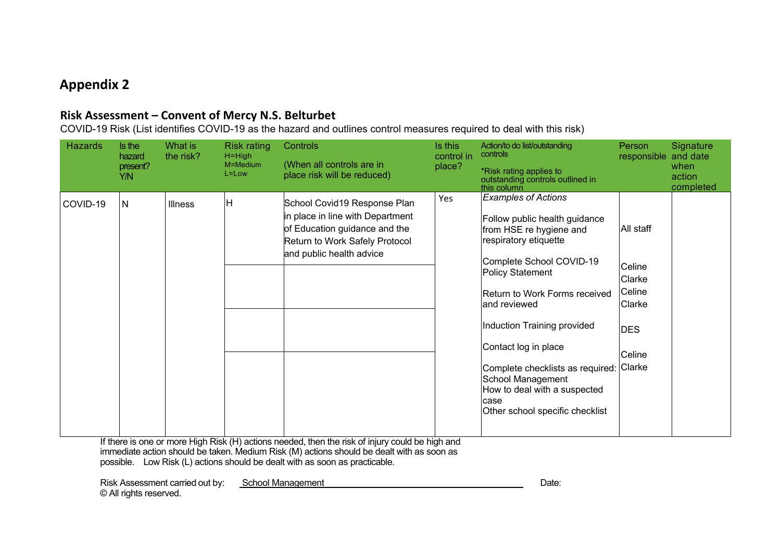# **Appendix 2**

# **Risk Assessment – Convent of Mercy N.S. Belturbet**

COVID-19 Risk (List identifies COVID-19 as the hazard and outlines control measures required to deal with this risk)

| <b>Hazards</b> | Is the<br>hazard<br>present?<br>Y/N | What is<br>the risk? | <b>Risk rating</b><br>$H = High$<br>M=Medium<br>$L = Low$ | Controls<br>(When all controls are in<br>place risk will be reduced)                                                                                            | Is this<br>control in<br>place? | Action/to do list/outstanding<br>controls<br>*Risk rating applies to<br>outstanding controls outlined in<br>this column                                                                                                                                                                                                                                                                                      | Person<br>responsible and date                                                      | Signature<br>when<br>action<br>completed |
|----------------|-------------------------------------|----------------------|-----------------------------------------------------------|-----------------------------------------------------------------------------------------------------------------------------------------------------------------|---------------------------------|--------------------------------------------------------------------------------------------------------------------------------------------------------------------------------------------------------------------------------------------------------------------------------------------------------------------------------------------------------------------------------------------------------------|-------------------------------------------------------------------------------------|------------------------------------------|
| COVID-19       | N                                   | <b>Illness</b>       | lН                                                        | School Covid19 Response Plan<br>in place in line with Department<br>of Education guidance and the<br>Return to Work Safely Protocol<br>and public health advice | Yes                             | <b>Examples of Actions</b><br>Follow public health guidance<br>from HSE re hygiene and<br>respiratory etiquette<br>Complete School COVID-19<br>Policy Statement<br>Return to Work Forms received<br>land reviewed<br>Induction Training provided<br>Contact log in place<br>Complete checklists as required:<br>School Management<br>How to deal with a suspected<br>case<br>Other school specific checklist | All staff<br>Celine<br>Clarke<br>Celine<br>Clarke<br><b>DES</b><br>Celine<br>Clarke |                                          |

If there is one or more High Risk (H) actions needed, then the risk of injury could be high and immediate action should be taken. Medium Risk (M) actions should be dealt with as soon as possible. Low Risk (L) actions should be dealt with as soon as practicable.

Risk Assessment carried out by: School Management National Risk Assessment Carried out by: School Management © All rights reserved.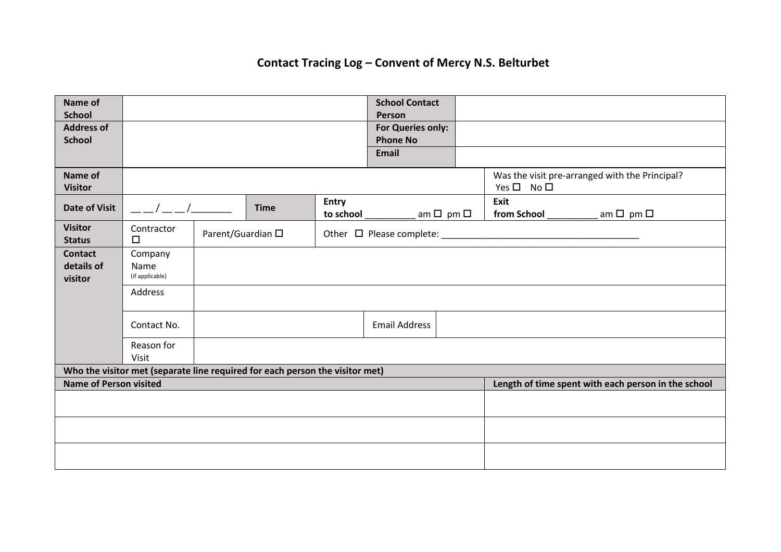# **Contact Tracing Log – Convent of Mercy N.S. Belturbet**

| Name of<br><b>School</b>                                                     |                                           |  |             |                           | <b>School Contact</b>              |  |                     |                                                     |
|------------------------------------------------------------------------------|-------------------------------------------|--|-------------|---------------------------|------------------------------------|--|---------------------|-----------------------------------------------------|
| <b>Address of</b>                                                            |                                           |  |             |                           | <b>Person</b><br>For Queries only: |  |                     |                                                     |
| <b>School</b>                                                                |                                           |  |             |                           | <b>Phone No</b>                    |  |                     |                                                     |
|                                                                              |                                           |  |             |                           | <b>Email</b>                       |  |                     |                                                     |
| Name of<br><b>Visitor</b>                                                    |                                           |  |             |                           |                                    |  | $Yes \Box No \Box$  | Was the visit pre-arranged with the Principal?      |
| <b>Date of Visit</b>                                                         | $\sim$ $\sim$ $\sim$ $\sim$               |  | <b>Time</b> | <b>Entry</b><br>to school | am $\square$ pm $\square$          |  | Exit<br>from School | am $\square$ pm $\square$                           |
| <b>Visitor</b><br><b>Status</b>                                              | Contractor<br>Parent/Guardian □<br>$\Box$ |  |             |                           |                                    |  |                     |                                                     |
| <b>Contact</b>                                                               | Company                                   |  |             |                           |                                    |  |                     |                                                     |
| details of<br>visitor                                                        | Name<br>(if applicable)                   |  |             |                           |                                    |  |                     |                                                     |
|                                                                              | Address                                   |  |             |                           |                                    |  |                     |                                                     |
|                                                                              | Contact No.                               |  |             |                           | <b>Email Address</b>               |  |                     |                                                     |
|                                                                              | Reason for<br>Visit                       |  |             |                           |                                    |  |                     |                                                     |
| Who the visitor met (separate line required for each person the visitor met) |                                           |  |             |                           |                                    |  |                     |                                                     |
| <b>Name of Person visited</b>                                                |                                           |  |             |                           |                                    |  |                     | Length of time spent with each person in the school |
|                                                                              |                                           |  |             |                           |                                    |  |                     |                                                     |
|                                                                              |                                           |  |             |                           |                                    |  |                     |                                                     |
|                                                                              |                                           |  |             |                           |                                    |  |                     |                                                     |